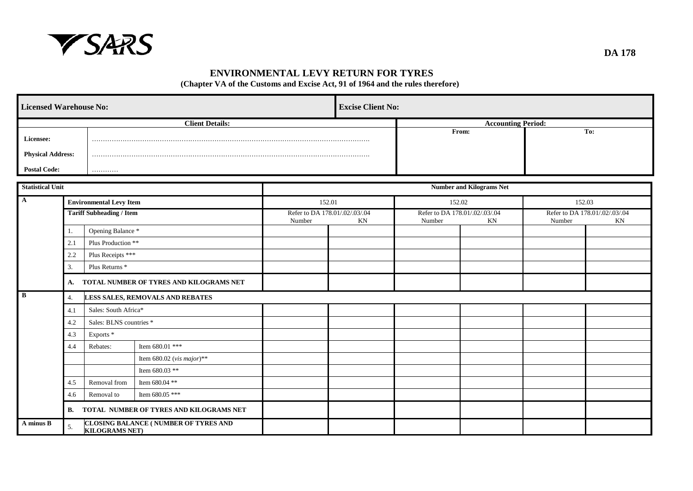

### **ENVIRONMENTAL LEVY RETURN FOR TYRES**

**(Chapter VA of the Customs and Excise Act, 91 of 1964 and the rules therefore)**

|                          | <b>Licensed Warehouse No:</b>                                       |                                 |                                         |                                          |                           | <b>Excise Client No:</b>                 |                                 |        |                                      |
|--------------------------|---------------------------------------------------------------------|---------------------------------|-----------------------------------------|------------------------------------------|---------------------------|------------------------------------------|---------------------------------|--------|--------------------------------------|
|                          |                                                                     |                                 | <b>Client Details:</b>                  |                                          | <b>Accounting Period:</b> |                                          |                                 |        |                                      |
| Licensee:                |                                                                     |                                 |                                         |                                          |                           |                                          | From:                           |        | To:                                  |
| <b>Physical Address:</b> |                                                                     |                                 |                                         |                                          |                           |                                          |                                 |        |                                      |
| <b>Postal Code:</b>      |                                                                     | .                               |                                         |                                          |                           |                                          |                                 |        |                                      |
|                          |                                                                     |                                 |                                         |                                          |                           |                                          |                                 |        |                                      |
| <b>Statistical Unit</b>  |                                                                     |                                 |                                         |                                          |                           |                                          | <b>Number and Kilograms Net</b> |        |                                      |
| $\mathbf{A}$             |                                                                     | <b>Environmental Levy Item</b>  |                                         | 152.01                                   |                           | 152.02                                   |                                 | 152.03 |                                      |
|                          |                                                                     | <b>Tariff Subheading / Item</b> |                                         | Refer to DA 178.01/.02/.03/.04<br>Number | KN                        | Refer to DA 178.01/.02/.03/.04<br>Number | KN                              | Number | Refer to DA 178.01/.02/.03/.04<br>KN |
|                          | 1.                                                                  | Opening Balance *               |                                         |                                          |                           |                                          |                                 |        |                                      |
|                          | 2.1                                                                 |                                 | Plus Production **                      |                                          |                           |                                          |                                 |        |                                      |
|                          | 2.2                                                                 |                                 | Plus Receipts ***                       |                                          |                           |                                          |                                 |        |                                      |
|                          | 3.                                                                  | Plus Returns <sup>*</sup>       |                                         |                                          |                           |                                          |                                 |        |                                      |
|                          | A.                                                                  |                                 | TOTAL NUMBER OF TYRES AND KILOGRAMS NET |                                          |                           |                                          |                                 |        |                                      |
| $\, {\bf B}$             | 4.                                                                  |                                 | LESS SALES, REMOVALS AND REBATES        |                                          |                           |                                          |                                 |        |                                      |
|                          | 4.1                                                                 | Sales: South Africa*            |                                         |                                          |                           |                                          |                                 |        |                                      |
|                          | 4.2                                                                 | Sales: BLNS countries *         |                                         |                                          |                           |                                          |                                 |        |                                      |
|                          | 4.3                                                                 | Exports <sup>*</sup>            |                                         |                                          |                           |                                          |                                 |        |                                      |
|                          | 4.4                                                                 | Rebates:                        | Item 680.01 ***                         |                                          |                           |                                          |                                 |        |                                      |
|                          |                                                                     |                                 | Item 680.02 (vis major)**               |                                          |                           |                                          |                                 |        |                                      |
|                          |                                                                     |                                 | Item 680.03 **                          |                                          |                           |                                          |                                 |        |                                      |
|                          | 4.5                                                                 | Removal from                    | Item 680.04 **                          |                                          |                           |                                          |                                 |        |                                      |
|                          | 4.6                                                                 | Removal to                      | Item 680.05 ***                         |                                          |                           |                                          |                                 |        |                                      |
|                          | TOTAL NUMBER OF TYRES AND KILOGRAMS NET<br><b>B.</b>                |                                 |                                         |                                          |                           |                                          |                                 |        |                                      |
| A minus B                | CLOSING BALANCE (NUMBER OF TYRES AND<br>5.<br><b>KILOGRAMS NET)</b> |                                 |                                         |                                          |                           |                                          |                                 |        |                                      |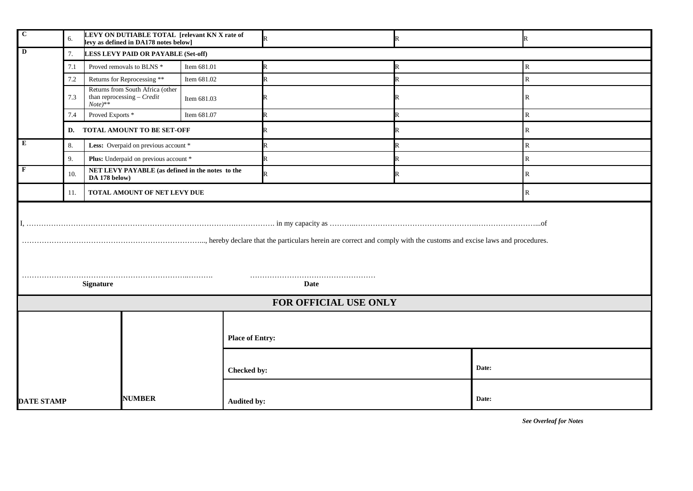| $\mathbf C$<br>LEVY ON DUTIABLE TOTAL [relevant KN X rate of<br>6.<br>levy as defined in DA178 notes below] |                                                                          |                                                                                |                    | $\overline{\mathbf{R}}$ |  |       | R            |
|-------------------------------------------------------------------------------------------------------------|--------------------------------------------------------------------------|--------------------------------------------------------------------------------|--------------------|-------------------------|--|-------|--------------|
| $\mathbf D$<br>7.<br>LESS LEVY PAID OR PAYABLE (Set-off)                                                    |                                                                          |                                                                                |                    |                         |  |       |              |
| 7.1                                                                                                         |                                                                          | Proved removals to BLNS *                                                      | Item 681.01        | R                       |  |       | ${\bf R}$    |
|                                                                                                             | 7.2                                                                      | Returns for Reprocessing **                                                    | Item 681.02        | $\mathbb{R}$            |  |       | ${\bf R}$    |
|                                                                                                             | 7.3                                                                      | Returns from South Africa (other<br>than reprocessing $-$ Credit<br>$Note)$ ** | Item 681.03        | R                       |  |       | $\mathbb{R}$ |
|                                                                                                             | 7.4                                                                      | Proved Exports <sup>*</sup>                                                    | Item 681.07        | R                       |  |       | ${\bf R}$    |
|                                                                                                             | D.                                                                       | TOTAL AMOUNT TO BE SET-OFF                                                     |                    | R                       |  |       | ${\bf R}$    |
| E                                                                                                           | 8.                                                                       | Less: Overpaid on previous account *                                           |                    | $\mathbf R$             |  |       | ${\bf R}$    |
|                                                                                                             | 9.                                                                       | Plus: Underpaid on previous account *                                          |                    | R                       |  |       | $\mathbb{R}$ |
| F                                                                                                           | NET LEVY PAYABLE (as defined in the notes to the<br>10.<br>DA 178 below) |                                                                                |                    | $\mathbb{R}$            |  |       | $\mathbb{R}$ |
| TOTAL AMOUNT OF NET LEVY DUE<br>11.<br>$\mathbb{R}$                                                         |                                                                          |                                                                                |                    |                         |  |       |              |
|                                                                                                             | <b>Signature</b><br>Date                                                 |                                                                                |                    |                         |  |       |              |
|                                                                                                             |                                                                          |                                                                                |                    | FOR OFFICIAL USE ONLY   |  |       |              |
|                                                                                                             | <b>Place of Entry:</b>                                                   |                                                                                |                    |                         |  |       |              |
|                                                                                                             |                                                                          |                                                                                | Checked by:        | Date:                   |  |       |              |
| <b>NUMBER</b><br><b>DATE STAMP</b>                                                                          |                                                                          |                                                                                | <b>Audited by:</b> |                         |  | Date: |              |

*See Overleaf for Notes*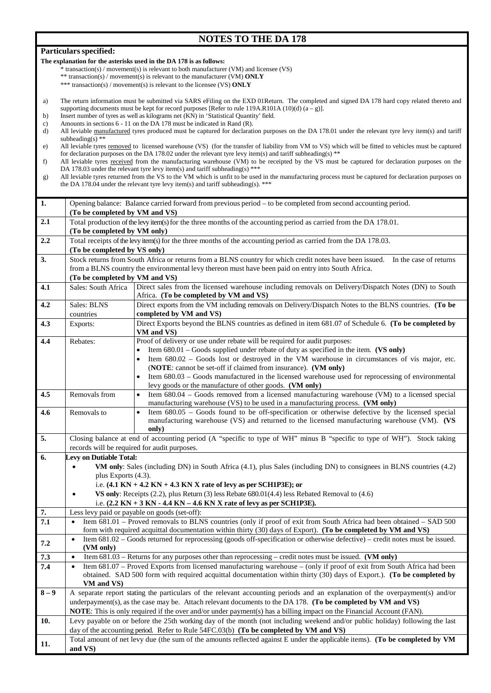# **NOTES TO THE DA 178**

| The explanation for the asterisks used in the DA 178 is as follows:<br>* transaction(s) / movement(s) is relevant to both manufacturer (VM) and licensee (VS)<br>** transaction(s) / movement(s) is relevant to the manufacturer (VM) ONLY<br>*** transaction(s) / movement(s) is relevant to the licensee (VS) ONLY<br>The return information must be submitted via SARS eFiling on the EXD 01Return. The completed and signed DA 178 hard copy related thereto and<br>a)<br>supporting documents must be kept for record purposes [Refer to rule 119A.R101A (10)(d) $(a - g)$ ].<br>Insert number of tyres as well as kilograms net (KN) in 'Statistical Quantity' field.<br>b)<br>Amounts in sections 6 - 11 on the DA 178 must be indicated in Rand (R).<br>c)<br>All leviable manufactured tyres produced must be captured for declaration purposes on the DA 178.01 under the relevant tyre levy item(s) and tariff<br>d)<br>subheading(s) **<br>All leviable tyres removed to licensed warehouse (VS) (for the transfer of liability from VM to VS) which will be fitted to vehicles must be captured<br>e)<br>for declaration purposes on the DA 178.02 under the relevant tyre levy item(s) and tariff subheading(s) $**$<br>All leviable tyres received from the manufacturing warehouse (VM) to be receipted by the VS must be captured for declaration purposes on the<br>f)<br>DA 178.03 under the relevant tyre levy item(s) and tariff subheading(s) ***<br>All leviable tyres returned from the VS to the VM which is unfit to be used in the manufacturing process must be captured for declaration purposes on<br>g)<br>the DA 178.04 under the relevant tyre levy item(s) and tariff subheading(s). ***<br>1.<br>Opening balance: Balance carried forward from previous period – to be completed from second accounting period.<br>(To be completed by VM and VS)<br>2.1<br>Total production of the levy item(s) for the three months of the accounting period as carried from the DA 178.01.<br>(To be completed by VM only)<br>2.2<br>Total receipts of the levy item(s) for the three months of the accounting period as carried from the DA 178.03.<br>(To be completed by VS only)<br>Stock returns from South Africa or returns from a BLNS country for which credit notes have been issued.<br>3.<br>In the case of returns<br>from a BLNS country the environmental levy thereon must have been paid on entry into South Africa.<br>(To be completed by VM and VS)<br>4.1<br>Sales: South Africa<br>Direct sales from the licensed warehouse including removals on Delivery/Dispatch Notes (DN) to South<br>Africa. (To be completed by VM and VS)<br>Direct exports from the VM including removals on Delivery/Dispatch Notes to the BLNS countries. (To be<br>4.2<br>Sales: BLNS<br>completed by VM and VS)<br>countries<br>Direct Exports beyond the BLNS countries as defined in item 681.07 of Schedule 6. (To be completed by<br>4.3<br>Exports:<br>VM and VS)<br>Proof of delivery or use under rebate will be required for audit purposes:<br>4.4<br>Rebates:<br>Item $680.01$ – Goods supplied under rebate of duty as specified in the item. (VS only)<br>$\bullet$<br>Item 680.02 - Goods lost or destroyed in the VM warehouse in circumstances of vis major, etc.<br>(NOTE: cannot be set-off if claimed from insurance). (VM only)<br>Item 680.03 - Goods manufactured in the licensed warehouse used for reprocessing of environmental<br>levy goods or the manufacture of other goods. (VM only)<br>Item 680.04 – Goods removed from a licensed manufacturing warehouse (VM) to a licensed special<br>4.5<br>Removals from<br>$\bullet$<br>manufacturing warehouse (VS) to be used in a manufacturing process. (VM only)<br>Item 680.05 - Goods found to be off-specification or otherwise defective by the licensed special<br>4.6<br>Removals to<br>manufacturing warehouse (VS) and returned to the licensed manufacturing warehouse (VM). (VS<br>only)<br>5.<br>Closing balance at end of accounting period (A "specific to type of WH" minus B "specific to type of WH"). Stock taking<br>records will be required for audit purposes.<br>6.<br>Levy on Dutiable Total:<br>VM only: Sales (including DN) in South Africa (4.1), plus Sales (including DN) to consignees in BLNS countries (4.2)<br>plus Exports (4.3).<br>i.e. $(4.1 \text{ KN} + 4.2 \text{ KN} + 4.3 \text{ KN} \text{ X}$ rate of levy as per SCH1P3E); or<br>VS only: Receipts $(2.2)$ , plus Return $(3)$ less Rebate $680.01(4.4)$ less Rebated Removal to $(4.6)$<br>$\bullet$<br>i.e. $(2.2 \text{ KN} + 3 \text{ KN} - 4.4 \text{ KN} - 4.6 \text{ KN} X \text{ rate of levy as per SCH1P3E}).$<br>7.<br>Less levy paid or payable on goods (set-off):<br>Item 681.01 - Proved removals to BLNS countries (only if proof of exit from South Africa had been obtained - SAD 500<br>$\bf 7.1$<br>$\bullet$<br>form with required acquittal documentation within thirty (30) days of Export). (To be completed by VM and VS)<br>Item 681.02 - Goods returned for reprocessing (goods off-specification or otherwise defective) - credit notes must be issued.<br>$\bullet$<br>7.2<br>(VM only)<br>7.3<br>Item $681.03$ – Returns for any purposes other than reprocessing – credit notes must be issued. (VM only)<br>$\bullet$<br>Item 681.07 - Proved Exports from licensed manufacturing warehouse - (only if proof of exit from South Africa had been<br>7.4<br>$\bullet$<br>obtained. SAD 500 form with required acquittal documentation within thirty (30) days of Export.). (To be completed by<br>VM and VS)<br>$8-9$<br>A separate report stating the particulars of the relevant accounting periods and an explanation of the overpayment(s) and/or<br>underpayment(s), as the case may be. Attach relevant documents to the DA 178. (To be completed by VM and VS)<br>NOTE: This is only required if the over and/or under payment(s) has a billing impact on the Financial Account (FAN).<br>10.<br>Levy payable on or before the 25th working day of the month (not including weekend and/or public holiday) following the last<br>day of the accounting period. Refer to Rule 54FC.03(b) (To be completed by VM and VS)<br>Total amount of net levy due (the sum of the amounts reflected against E under the applicable items). (To be completed by VM<br>11. | Particulars specified: |  |  |  |  |  |
|----------------------------------------------------------------------------------------------------------------------------------------------------------------------------------------------------------------------------------------------------------------------------------------------------------------------------------------------------------------------------------------------------------------------------------------------------------------------------------------------------------------------------------------------------------------------------------------------------------------------------------------------------------------------------------------------------------------------------------------------------------------------------------------------------------------------------------------------------------------------------------------------------------------------------------------------------------------------------------------------------------------------------------------------------------------------------------------------------------------------------------------------------------------------------------------------------------------------------------------------------------------------------------------------------------------------------------------------------------------------------------------------------------------------------------------------------------------------------------------------------------------------------------------------------------------------------------------------------------------------------------------------------------------------------------------------------------------------------------------------------------------------------------------------------------------------------------------------------------------------------------------------------------------------------------------------------------------------------------------------------------------------------------------------------------------------------------------------------------------------------------------------------------------------------------------------------------------------------------------------------------------------------------------------------------------------------------------------------------------------------------------------------------------------------------------------------------------------------------------------------------------------------------------------------------------------------------------------------------------------------------------------------------------------------------------------------------------------------------------------------------------------------------------------------------------------------------------------------------------------------------------------------------------------------------------------------------------------------------------------------------------------------------------------------------------------------------------------------------------------------------------------------------------------------------------------------------------------------------------------------------------------------------------------------------------------------------------------------------------------------------------------------------------------------------------------------------------------------------------------------------------------------------------------------------------------------------------------------------------------------------------------------------------------------------------------------------------------------------------------------------------------------------------------------------------------------------------------------------------------------------------------------------------------------------------------------------------------------------------------------------------------------------------------------------------------------------------------------------------------------------------------------------------------------------------------------------------------------------------------------------------------------------------------------------------------------------------------------------------------------------------------------------------------------------------------------------------------------------------------------------------------------------------------------------------------------------------------------------------------------------------------------------------------------------------------------------------------------------------------------------------------------------------------------------------------------------------------------------------------------------------------------------------------------------------------------------------------------------------------------------------------------------------------------------------------------------------------------------------------------------------------------------------------------------------------------------------------------------------------------------------------------------------------------------------------------------------------------------------------------------------------------------------------------------------------------------------------------------------------------------------------------------------------------------------------------------------------------------------------------------------------------------------------------------------------------------------------------------------------------------------------------------------------------------------------------------------------------------------------------------------------------------------------------------------------------------------------------------------------------------------------------------------------------------------------------------------------------------------------------------------------------------------------------------------------------------------------------------------------------------------------------------------------------------------------------------------------------------------------------------------------------|------------------------|--|--|--|--|--|
|                                                                                                                                                                                                                                                                                                                                                                                                                                                                                                                                                                                                                                                                                                                                                                                                                                                                                                                                                                                                                                                                                                                                                                                                                                                                                                                                                                                                                                                                                                                                                                                                                                                                                                                                                                                                                                                                                                                                                                                                                                                                                                                                                                                                                                                                                                                                                                                                                                                                                                                                                                                                                                                                                                                                                                                                                                                                                                                                                                                                                                                                                                                                                                                                                                                                                                                                                                                                                                                                                                                                                                                                                                                                                                                                                                                                                                                                                                                                                                                                                                                                                                                                                                                                                                                                                                                                                                                                                                                                                                                                                                                                                                                                                                                                                                                                                                                                                                                                                                                                                                                                                                                                                                                                                                                                                                                                                                                                                                                                                                                                                                                                                                                                                                                                                                                                                                                                                                                                                                                                                                                                                                                                                                                                                                                                                                                                                                                                    |                        |  |  |  |  |  |
|                                                                                                                                                                                                                                                                                                                                                                                                                                                                                                                                                                                                                                                                                                                                                                                                                                                                                                                                                                                                                                                                                                                                                                                                                                                                                                                                                                                                                                                                                                                                                                                                                                                                                                                                                                                                                                                                                                                                                                                                                                                                                                                                                                                                                                                                                                                                                                                                                                                                                                                                                                                                                                                                                                                                                                                                                                                                                                                                                                                                                                                                                                                                                                                                                                                                                                                                                                                                                                                                                                                                                                                                                                                                                                                                                                                                                                                                                                                                                                                                                                                                                                                                                                                                                                                                                                                                                                                                                                                                                                                                                                                                                                                                                                                                                                                                                                                                                                                                                                                                                                                                                                                                                                                                                                                                                                                                                                                                                                                                                                                                                                                                                                                                                                                                                                                                                                                                                                                                                                                                                                                                                                                                                                                                                                                                                                                                                                                                    |                        |  |  |  |  |  |
|                                                                                                                                                                                                                                                                                                                                                                                                                                                                                                                                                                                                                                                                                                                                                                                                                                                                                                                                                                                                                                                                                                                                                                                                                                                                                                                                                                                                                                                                                                                                                                                                                                                                                                                                                                                                                                                                                                                                                                                                                                                                                                                                                                                                                                                                                                                                                                                                                                                                                                                                                                                                                                                                                                                                                                                                                                                                                                                                                                                                                                                                                                                                                                                                                                                                                                                                                                                                                                                                                                                                                                                                                                                                                                                                                                                                                                                                                                                                                                                                                                                                                                                                                                                                                                                                                                                                                                                                                                                                                                                                                                                                                                                                                                                                                                                                                                                                                                                                                                                                                                                                                                                                                                                                                                                                                                                                                                                                                                                                                                                                                                                                                                                                                                                                                                                                                                                                                                                                                                                                                                                                                                                                                                                                                                                                                                                                                                                                    |                        |  |  |  |  |  |
|                                                                                                                                                                                                                                                                                                                                                                                                                                                                                                                                                                                                                                                                                                                                                                                                                                                                                                                                                                                                                                                                                                                                                                                                                                                                                                                                                                                                                                                                                                                                                                                                                                                                                                                                                                                                                                                                                                                                                                                                                                                                                                                                                                                                                                                                                                                                                                                                                                                                                                                                                                                                                                                                                                                                                                                                                                                                                                                                                                                                                                                                                                                                                                                                                                                                                                                                                                                                                                                                                                                                                                                                                                                                                                                                                                                                                                                                                                                                                                                                                                                                                                                                                                                                                                                                                                                                                                                                                                                                                                                                                                                                                                                                                                                                                                                                                                                                                                                                                                                                                                                                                                                                                                                                                                                                                                                                                                                                                                                                                                                                                                                                                                                                                                                                                                                                                                                                                                                                                                                                                                                                                                                                                                                                                                                                                                                                                                                                    |                        |  |  |  |  |  |
|                                                                                                                                                                                                                                                                                                                                                                                                                                                                                                                                                                                                                                                                                                                                                                                                                                                                                                                                                                                                                                                                                                                                                                                                                                                                                                                                                                                                                                                                                                                                                                                                                                                                                                                                                                                                                                                                                                                                                                                                                                                                                                                                                                                                                                                                                                                                                                                                                                                                                                                                                                                                                                                                                                                                                                                                                                                                                                                                                                                                                                                                                                                                                                                                                                                                                                                                                                                                                                                                                                                                                                                                                                                                                                                                                                                                                                                                                                                                                                                                                                                                                                                                                                                                                                                                                                                                                                                                                                                                                                                                                                                                                                                                                                                                                                                                                                                                                                                                                                                                                                                                                                                                                                                                                                                                                                                                                                                                                                                                                                                                                                                                                                                                                                                                                                                                                                                                                                                                                                                                                                                                                                                                                                                                                                                                                                                                                                                                    |                        |  |  |  |  |  |
|                                                                                                                                                                                                                                                                                                                                                                                                                                                                                                                                                                                                                                                                                                                                                                                                                                                                                                                                                                                                                                                                                                                                                                                                                                                                                                                                                                                                                                                                                                                                                                                                                                                                                                                                                                                                                                                                                                                                                                                                                                                                                                                                                                                                                                                                                                                                                                                                                                                                                                                                                                                                                                                                                                                                                                                                                                                                                                                                                                                                                                                                                                                                                                                                                                                                                                                                                                                                                                                                                                                                                                                                                                                                                                                                                                                                                                                                                                                                                                                                                                                                                                                                                                                                                                                                                                                                                                                                                                                                                                                                                                                                                                                                                                                                                                                                                                                                                                                                                                                                                                                                                                                                                                                                                                                                                                                                                                                                                                                                                                                                                                                                                                                                                                                                                                                                                                                                                                                                                                                                                                                                                                                                                                                                                                                                                                                                                                                                    |                        |  |  |  |  |  |
|                                                                                                                                                                                                                                                                                                                                                                                                                                                                                                                                                                                                                                                                                                                                                                                                                                                                                                                                                                                                                                                                                                                                                                                                                                                                                                                                                                                                                                                                                                                                                                                                                                                                                                                                                                                                                                                                                                                                                                                                                                                                                                                                                                                                                                                                                                                                                                                                                                                                                                                                                                                                                                                                                                                                                                                                                                                                                                                                                                                                                                                                                                                                                                                                                                                                                                                                                                                                                                                                                                                                                                                                                                                                                                                                                                                                                                                                                                                                                                                                                                                                                                                                                                                                                                                                                                                                                                                                                                                                                                                                                                                                                                                                                                                                                                                                                                                                                                                                                                                                                                                                                                                                                                                                                                                                                                                                                                                                                                                                                                                                                                                                                                                                                                                                                                                                                                                                                                                                                                                                                                                                                                                                                                                                                                                                                                                                                                                                    |                        |  |  |  |  |  |
|                                                                                                                                                                                                                                                                                                                                                                                                                                                                                                                                                                                                                                                                                                                                                                                                                                                                                                                                                                                                                                                                                                                                                                                                                                                                                                                                                                                                                                                                                                                                                                                                                                                                                                                                                                                                                                                                                                                                                                                                                                                                                                                                                                                                                                                                                                                                                                                                                                                                                                                                                                                                                                                                                                                                                                                                                                                                                                                                                                                                                                                                                                                                                                                                                                                                                                                                                                                                                                                                                                                                                                                                                                                                                                                                                                                                                                                                                                                                                                                                                                                                                                                                                                                                                                                                                                                                                                                                                                                                                                                                                                                                                                                                                                                                                                                                                                                                                                                                                                                                                                                                                                                                                                                                                                                                                                                                                                                                                                                                                                                                                                                                                                                                                                                                                                                                                                                                                                                                                                                                                                                                                                                                                                                                                                                                                                                                                                                                    |                        |  |  |  |  |  |
|                                                                                                                                                                                                                                                                                                                                                                                                                                                                                                                                                                                                                                                                                                                                                                                                                                                                                                                                                                                                                                                                                                                                                                                                                                                                                                                                                                                                                                                                                                                                                                                                                                                                                                                                                                                                                                                                                                                                                                                                                                                                                                                                                                                                                                                                                                                                                                                                                                                                                                                                                                                                                                                                                                                                                                                                                                                                                                                                                                                                                                                                                                                                                                                                                                                                                                                                                                                                                                                                                                                                                                                                                                                                                                                                                                                                                                                                                                                                                                                                                                                                                                                                                                                                                                                                                                                                                                                                                                                                                                                                                                                                                                                                                                                                                                                                                                                                                                                                                                                                                                                                                                                                                                                                                                                                                                                                                                                                                                                                                                                                                                                                                                                                                                                                                                                                                                                                                                                                                                                                                                                                                                                                                                                                                                                                                                                                                                                                    |                        |  |  |  |  |  |
|                                                                                                                                                                                                                                                                                                                                                                                                                                                                                                                                                                                                                                                                                                                                                                                                                                                                                                                                                                                                                                                                                                                                                                                                                                                                                                                                                                                                                                                                                                                                                                                                                                                                                                                                                                                                                                                                                                                                                                                                                                                                                                                                                                                                                                                                                                                                                                                                                                                                                                                                                                                                                                                                                                                                                                                                                                                                                                                                                                                                                                                                                                                                                                                                                                                                                                                                                                                                                                                                                                                                                                                                                                                                                                                                                                                                                                                                                                                                                                                                                                                                                                                                                                                                                                                                                                                                                                                                                                                                                                                                                                                                                                                                                                                                                                                                                                                                                                                                                                                                                                                                                                                                                                                                                                                                                                                                                                                                                                                                                                                                                                                                                                                                                                                                                                                                                                                                                                                                                                                                                                                                                                                                                                                                                                                                                                                                                                                                    |                        |  |  |  |  |  |
|                                                                                                                                                                                                                                                                                                                                                                                                                                                                                                                                                                                                                                                                                                                                                                                                                                                                                                                                                                                                                                                                                                                                                                                                                                                                                                                                                                                                                                                                                                                                                                                                                                                                                                                                                                                                                                                                                                                                                                                                                                                                                                                                                                                                                                                                                                                                                                                                                                                                                                                                                                                                                                                                                                                                                                                                                                                                                                                                                                                                                                                                                                                                                                                                                                                                                                                                                                                                                                                                                                                                                                                                                                                                                                                                                                                                                                                                                                                                                                                                                                                                                                                                                                                                                                                                                                                                                                                                                                                                                                                                                                                                                                                                                                                                                                                                                                                                                                                                                                                                                                                                                                                                                                                                                                                                                                                                                                                                                                                                                                                                                                                                                                                                                                                                                                                                                                                                                                                                                                                                                                                                                                                                                                                                                                                                                                                                                                                                    |                        |  |  |  |  |  |
|                                                                                                                                                                                                                                                                                                                                                                                                                                                                                                                                                                                                                                                                                                                                                                                                                                                                                                                                                                                                                                                                                                                                                                                                                                                                                                                                                                                                                                                                                                                                                                                                                                                                                                                                                                                                                                                                                                                                                                                                                                                                                                                                                                                                                                                                                                                                                                                                                                                                                                                                                                                                                                                                                                                                                                                                                                                                                                                                                                                                                                                                                                                                                                                                                                                                                                                                                                                                                                                                                                                                                                                                                                                                                                                                                                                                                                                                                                                                                                                                                                                                                                                                                                                                                                                                                                                                                                                                                                                                                                                                                                                                                                                                                                                                                                                                                                                                                                                                                                                                                                                                                                                                                                                                                                                                                                                                                                                                                                                                                                                                                                                                                                                                                                                                                                                                                                                                                                                                                                                                                                                                                                                                                                                                                                                                                                                                                                                                    |                        |  |  |  |  |  |
|                                                                                                                                                                                                                                                                                                                                                                                                                                                                                                                                                                                                                                                                                                                                                                                                                                                                                                                                                                                                                                                                                                                                                                                                                                                                                                                                                                                                                                                                                                                                                                                                                                                                                                                                                                                                                                                                                                                                                                                                                                                                                                                                                                                                                                                                                                                                                                                                                                                                                                                                                                                                                                                                                                                                                                                                                                                                                                                                                                                                                                                                                                                                                                                                                                                                                                                                                                                                                                                                                                                                                                                                                                                                                                                                                                                                                                                                                                                                                                                                                                                                                                                                                                                                                                                                                                                                                                                                                                                                                                                                                                                                                                                                                                                                                                                                                                                                                                                                                                                                                                                                                                                                                                                                                                                                                                                                                                                                                                                                                                                                                                                                                                                                                                                                                                                                                                                                                                                                                                                                                                                                                                                                                                                                                                                                                                                                                                                                    |                        |  |  |  |  |  |
|                                                                                                                                                                                                                                                                                                                                                                                                                                                                                                                                                                                                                                                                                                                                                                                                                                                                                                                                                                                                                                                                                                                                                                                                                                                                                                                                                                                                                                                                                                                                                                                                                                                                                                                                                                                                                                                                                                                                                                                                                                                                                                                                                                                                                                                                                                                                                                                                                                                                                                                                                                                                                                                                                                                                                                                                                                                                                                                                                                                                                                                                                                                                                                                                                                                                                                                                                                                                                                                                                                                                                                                                                                                                                                                                                                                                                                                                                                                                                                                                                                                                                                                                                                                                                                                                                                                                                                                                                                                                                                                                                                                                                                                                                                                                                                                                                                                                                                                                                                                                                                                                                                                                                                                                                                                                                                                                                                                                                                                                                                                                                                                                                                                                                                                                                                                                                                                                                                                                                                                                                                                                                                                                                                                                                                                                                                                                                                                                    |                        |  |  |  |  |  |
|                                                                                                                                                                                                                                                                                                                                                                                                                                                                                                                                                                                                                                                                                                                                                                                                                                                                                                                                                                                                                                                                                                                                                                                                                                                                                                                                                                                                                                                                                                                                                                                                                                                                                                                                                                                                                                                                                                                                                                                                                                                                                                                                                                                                                                                                                                                                                                                                                                                                                                                                                                                                                                                                                                                                                                                                                                                                                                                                                                                                                                                                                                                                                                                                                                                                                                                                                                                                                                                                                                                                                                                                                                                                                                                                                                                                                                                                                                                                                                                                                                                                                                                                                                                                                                                                                                                                                                                                                                                                                                                                                                                                                                                                                                                                                                                                                                                                                                                                                                                                                                                                                                                                                                                                                                                                                                                                                                                                                                                                                                                                                                                                                                                                                                                                                                                                                                                                                                                                                                                                                                                                                                                                                                                                                                                                                                                                                                                                    |                        |  |  |  |  |  |
|                                                                                                                                                                                                                                                                                                                                                                                                                                                                                                                                                                                                                                                                                                                                                                                                                                                                                                                                                                                                                                                                                                                                                                                                                                                                                                                                                                                                                                                                                                                                                                                                                                                                                                                                                                                                                                                                                                                                                                                                                                                                                                                                                                                                                                                                                                                                                                                                                                                                                                                                                                                                                                                                                                                                                                                                                                                                                                                                                                                                                                                                                                                                                                                                                                                                                                                                                                                                                                                                                                                                                                                                                                                                                                                                                                                                                                                                                                                                                                                                                                                                                                                                                                                                                                                                                                                                                                                                                                                                                                                                                                                                                                                                                                                                                                                                                                                                                                                                                                                                                                                                                                                                                                                                                                                                                                                                                                                                                                                                                                                                                                                                                                                                                                                                                                                                                                                                                                                                                                                                                                                                                                                                                                                                                                                                                                                                                                                                    |                        |  |  |  |  |  |
|                                                                                                                                                                                                                                                                                                                                                                                                                                                                                                                                                                                                                                                                                                                                                                                                                                                                                                                                                                                                                                                                                                                                                                                                                                                                                                                                                                                                                                                                                                                                                                                                                                                                                                                                                                                                                                                                                                                                                                                                                                                                                                                                                                                                                                                                                                                                                                                                                                                                                                                                                                                                                                                                                                                                                                                                                                                                                                                                                                                                                                                                                                                                                                                                                                                                                                                                                                                                                                                                                                                                                                                                                                                                                                                                                                                                                                                                                                                                                                                                                                                                                                                                                                                                                                                                                                                                                                                                                                                                                                                                                                                                                                                                                                                                                                                                                                                                                                                                                                                                                                                                                                                                                                                                                                                                                                                                                                                                                                                                                                                                                                                                                                                                                                                                                                                                                                                                                                                                                                                                                                                                                                                                                                                                                                                                                                                                                                                                    |                        |  |  |  |  |  |
|                                                                                                                                                                                                                                                                                                                                                                                                                                                                                                                                                                                                                                                                                                                                                                                                                                                                                                                                                                                                                                                                                                                                                                                                                                                                                                                                                                                                                                                                                                                                                                                                                                                                                                                                                                                                                                                                                                                                                                                                                                                                                                                                                                                                                                                                                                                                                                                                                                                                                                                                                                                                                                                                                                                                                                                                                                                                                                                                                                                                                                                                                                                                                                                                                                                                                                                                                                                                                                                                                                                                                                                                                                                                                                                                                                                                                                                                                                                                                                                                                                                                                                                                                                                                                                                                                                                                                                                                                                                                                                                                                                                                                                                                                                                                                                                                                                                                                                                                                                                                                                                                                                                                                                                                                                                                                                                                                                                                                                                                                                                                                                                                                                                                                                                                                                                                                                                                                                                                                                                                                                                                                                                                                                                                                                                                                                                                                                                                    |                        |  |  |  |  |  |
|                                                                                                                                                                                                                                                                                                                                                                                                                                                                                                                                                                                                                                                                                                                                                                                                                                                                                                                                                                                                                                                                                                                                                                                                                                                                                                                                                                                                                                                                                                                                                                                                                                                                                                                                                                                                                                                                                                                                                                                                                                                                                                                                                                                                                                                                                                                                                                                                                                                                                                                                                                                                                                                                                                                                                                                                                                                                                                                                                                                                                                                                                                                                                                                                                                                                                                                                                                                                                                                                                                                                                                                                                                                                                                                                                                                                                                                                                                                                                                                                                                                                                                                                                                                                                                                                                                                                                                                                                                                                                                                                                                                                                                                                                                                                                                                                                                                                                                                                                                                                                                                                                                                                                                                                                                                                                                                                                                                                                                                                                                                                                                                                                                                                                                                                                                                                                                                                                                                                                                                                                                                                                                                                                                                                                                                                                                                                                                                                    |                        |  |  |  |  |  |
|                                                                                                                                                                                                                                                                                                                                                                                                                                                                                                                                                                                                                                                                                                                                                                                                                                                                                                                                                                                                                                                                                                                                                                                                                                                                                                                                                                                                                                                                                                                                                                                                                                                                                                                                                                                                                                                                                                                                                                                                                                                                                                                                                                                                                                                                                                                                                                                                                                                                                                                                                                                                                                                                                                                                                                                                                                                                                                                                                                                                                                                                                                                                                                                                                                                                                                                                                                                                                                                                                                                                                                                                                                                                                                                                                                                                                                                                                                                                                                                                                                                                                                                                                                                                                                                                                                                                                                                                                                                                                                                                                                                                                                                                                                                                                                                                                                                                                                                                                                                                                                                                                                                                                                                                                                                                                                                                                                                                                                                                                                                                                                                                                                                                                                                                                                                                                                                                                                                                                                                                                                                                                                                                                                                                                                                                                                                                                                                                    |                        |  |  |  |  |  |
|                                                                                                                                                                                                                                                                                                                                                                                                                                                                                                                                                                                                                                                                                                                                                                                                                                                                                                                                                                                                                                                                                                                                                                                                                                                                                                                                                                                                                                                                                                                                                                                                                                                                                                                                                                                                                                                                                                                                                                                                                                                                                                                                                                                                                                                                                                                                                                                                                                                                                                                                                                                                                                                                                                                                                                                                                                                                                                                                                                                                                                                                                                                                                                                                                                                                                                                                                                                                                                                                                                                                                                                                                                                                                                                                                                                                                                                                                                                                                                                                                                                                                                                                                                                                                                                                                                                                                                                                                                                                                                                                                                                                                                                                                                                                                                                                                                                                                                                                                                                                                                                                                                                                                                                                                                                                                                                                                                                                                                                                                                                                                                                                                                                                                                                                                                                                                                                                                                                                                                                                                                                                                                                                                                                                                                                                                                                                                                                                    |                        |  |  |  |  |  |
|                                                                                                                                                                                                                                                                                                                                                                                                                                                                                                                                                                                                                                                                                                                                                                                                                                                                                                                                                                                                                                                                                                                                                                                                                                                                                                                                                                                                                                                                                                                                                                                                                                                                                                                                                                                                                                                                                                                                                                                                                                                                                                                                                                                                                                                                                                                                                                                                                                                                                                                                                                                                                                                                                                                                                                                                                                                                                                                                                                                                                                                                                                                                                                                                                                                                                                                                                                                                                                                                                                                                                                                                                                                                                                                                                                                                                                                                                                                                                                                                                                                                                                                                                                                                                                                                                                                                                                                                                                                                                                                                                                                                                                                                                                                                                                                                                                                                                                                                                                                                                                                                                                                                                                                                                                                                                                                                                                                                                                                                                                                                                                                                                                                                                                                                                                                                                                                                                                                                                                                                                                                                                                                                                                                                                                                                                                                                                                                                    |                        |  |  |  |  |  |
|                                                                                                                                                                                                                                                                                                                                                                                                                                                                                                                                                                                                                                                                                                                                                                                                                                                                                                                                                                                                                                                                                                                                                                                                                                                                                                                                                                                                                                                                                                                                                                                                                                                                                                                                                                                                                                                                                                                                                                                                                                                                                                                                                                                                                                                                                                                                                                                                                                                                                                                                                                                                                                                                                                                                                                                                                                                                                                                                                                                                                                                                                                                                                                                                                                                                                                                                                                                                                                                                                                                                                                                                                                                                                                                                                                                                                                                                                                                                                                                                                                                                                                                                                                                                                                                                                                                                                                                                                                                                                                                                                                                                                                                                                                                                                                                                                                                                                                                                                                                                                                                                                                                                                                                                                                                                                                                                                                                                                                                                                                                                                                                                                                                                                                                                                                                                                                                                                                                                                                                                                                                                                                                                                                                                                                                                                                                                                                                                    |                        |  |  |  |  |  |
|                                                                                                                                                                                                                                                                                                                                                                                                                                                                                                                                                                                                                                                                                                                                                                                                                                                                                                                                                                                                                                                                                                                                                                                                                                                                                                                                                                                                                                                                                                                                                                                                                                                                                                                                                                                                                                                                                                                                                                                                                                                                                                                                                                                                                                                                                                                                                                                                                                                                                                                                                                                                                                                                                                                                                                                                                                                                                                                                                                                                                                                                                                                                                                                                                                                                                                                                                                                                                                                                                                                                                                                                                                                                                                                                                                                                                                                                                                                                                                                                                                                                                                                                                                                                                                                                                                                                                                                                                                                                                                                                                                                                                                                                                                                                                                                                                                                                                                                                                                                                                                                                                                                                                                                                                                                                                                                                                                                                                                                                                                                                                                                                                                                                                                                                                                                                                                                                                                                                                                                                                                                                                                                                                                                                                                                                                                                                                                                                    |                        |  |  |  |  |  |
|                                                                                                                                                                                                                                                                                                                                                                                                                                                                                                                                                                                                                                                                                                                                                                                                                                                                                                                                                                                                                                                                                                                                                                                                                                                                                                                                                                                                                                                                                                                                                                                                                                                                                                                                                                                                                                                                                                                                                                                                                                                                                                                                                                                                                                                                                                                                                                                                                                                                                                                                                                                                                                                                                                                                                                                                                                                                                                                                                                                                                                                                                                                                                                                                                                                                                                                                                                                                                                                                                                                                                                                                                                                                                                                                                                                                                                                                                                                                                                                                                                                                                                                                                                                                                                                                                                                                                                                                                                                                                                                                                                                                                                                                                                                                                                                                                                                                                                                                                                                                                                                                                                                                                                                                                                                                                                                                                                                                                                                                                                                                                                                                                                                                                                                                                                                                                                                                                                                                                                                                                                                                                                                                                                                                                                                                                                                                                                                                    |                        |  |  |  |  |  |
|                                                                                                                                                                                                                                                                                                                                                                                                                                                                                                                                                                                                                                                                                                                                                                                                                                                                                                                                                                                                                                                                                                                                                                                                                                                                                                                                                                                                                                                                                                                                                                                                                                                                                                                                                                                                                                                                                                                                                                                                                                                                                                                                                                                                                                                                                                                                                                                                                                                                                                                                                                                                                                                                                                                                                                                                                                                                                                                                                                                                                                                                                                                                                                                                                                                                                                                                                                                                                                                                                                                                                                                                                                                                                                                                                                                                                                                                                                                                                                                                                                                                                                                                                                                                                                                                                                                                                                                                                                                                                                                                                                                                                                                                                                                                                                                                                                                                                                                                                                                                                                                                                                                                                                                                                                                                                                                                                                                                                                                                                                                                                                                                                                                                                                                                                                                                                                                                                                                                                                                                                                                                                                                                                                                                                                                                                                                                                                                                    |                        |  |  |  |  |  |
|                                                                                                                                                                                                                                                                                                                                                                                                                                                                                                                                                                                                                                                                                                                                                                                                                                                                                                                                                                                                                                                                                                                                                                                                                                                                                                                                                                                                                                                                                                                                                                                                                                                                                                                                                                                                                                                                                                                                                                                                                                                                                                                                                                                                                                                                                                                                                                                                                                                                                                                                                                                                                                                                                                                                                                                                                                                                                                                                                                                                                                                                                                                                                                                                                                                                                                                                                                                                                                                                                                                                                                                                                                                                                                                                                                                                                                                                                                                                                                                                                                                                                                                                                                                                                                                                                                                                                                                                                                                                                                                                                                                                                                                                                                                                                                                                                                                                                                                                                                                                                                                                                                                                                                                                                                                                                                                                                                                                                                                                                                                                                                                                                                                                                                                                                                                                                                                                                                                                                                                                                                                                                                                                                                                                                                                                                                                                                                                                    |                        |  |  |  |  |  |
|                                                                                                                                                                                                                                                                                                                                                                                                                                                                                                                                                                                                                                                                                                                                                                                                                                                                                                                                                                                                                                                                                                                                                                                                                                                                                                                                                                                                                                                                                                                                                                                                                                                                                                                                                                                                                                                                                                                                                                                                                                                                                                                                                                                                                                                                                                                                                                                                                                                                                                                                                                                                                                                                                                                                                                                                                                                                                                                                                                                                                                                                                                                                                                                                                                                                                                                                                                                                                                                                                                                                                                                                                                                                                                                                                                                                                                                                                                                                                                                                                                                                                                                                                                                                                                                                                                                                                                                                                                                                                                                                                                                                                                                                                                                                                                                                                                                                                                                                                                                                                                                                                                                                                                                                                                                                                                                                                                                                                                                                                                                                                                                                                                                                                                                                                                                                                                                                                                                                                                                                                                                                                                                                                                                                                                                                                                                                                                                                    |                        |  |  |  |  |  |
|                                                                                                                                                                                                                                                                                                                                                                                                                                                                                                                                                                                                                                                                                                                                                                                                                                                                                                                                                                                                                                                                                                                                                                                                                                                                                                                                                                                                                                                                                                                                                                                                                                                                                                                                                                                                                                                                                                                                                                                                                                                                                                                                                                                                                                                                                                                                                                                                                                                                                                                                                                                                                                                                                                                                                                                                                                                                                                                                                                                                                                                                                                                                                                                                                                                                                                                                                                                                                                                                                                                                                                                                                                                                                                                                                                                                                                                                                                                                                                                                                                                                                                                                                                                                                                                                                                                                                                                                                                                                                                                                                                                                                                                                                                                                                                                                                                                                                                                                                                                                                                                                                                                                                                                                                                                                                                                                                                                                                                                                                                                                                                                                                                                                                                                                                                                                                                                                                                                                                                                                                                                                                                                                                                                                                                                                                                                                                                                                    |                        |  |  |  |  |  |
|                                                                                                                                                                                                                                                                                                                                                                                                                                                                                                                                                                                                                                                                                                                                                                                                                                                                                                                                                                                                                                                                                                                                                                                                                                                                                                                                                                                                                                                                                                                                                                                                                                                                                                                                                                                                                                                                                                                                                                                                                                                                                                                                                                                                                                                                                                                                                                                                                                                                                                                                                                                                                                                                                                                                                                                                                                                                                                                                                                                                                                                                                                                                                                                                                                                                                                                                                                                                                                                                                                                                                                                                                                                                                                                                                                                                                                                                                                                                                                                                                                                                                                                                                                                                                                                                                                                                                                                                                                                                                                                                                                                                                                                                                                                                                                                                                                                                                                                                                                                                                                                                                                                                                                                                                                                                                                                                                                                                                                                                                                                                                                                                                                                                                                                                                                                                                                                                                                                                                                                                                                                                                                                                                                                                                                                                                                                                                                                                    |                        |  |  |  |  |  |
|                                                                                                                                                                                                                                                                                                                                                                                                                                                                                                                                                                                                                                                                                                                                                                                                                                                                                                                                                                                                                                                                                                                                                                                                                                                                                                                                                                                                                                                                                                                                                                                                                                                                                                                                                                                                                                                                                                                                                                                                                                                                                                                                                                                                                                                                                                                                                                                                                                                                                                                                                                                                                                                                                                                                                                                                                                                                                                                                                                                                                                                                                                                                                                                                                                                                                                                                                                                                                                                                                                                                                                                                                                                                                                                                                                                                                                                                                                                                                                                                                                                                                                                                                                                                                                                                                                                                                                                                                                                                                                                                                                                                                                                                                                                                                                                                                                                                                                                                                                                                                                                                                                                                                                                                                                                                                                                                                                                                                                                                                                                                                                                                                                                                                                                                                                                                                                                                                                                                                                                                                                                                                                                                                                                                                                                                                                                                                                                                    |                        |  |  |  |  |  |
|                                                                                                                                                                                                                                                                                                                                                                                                                                                                                                                                                                                                                                                                                                                                                                                                                                                                                                                                                                                                                                                                                                                                                                                                                                                                                                                                                                                                                                                                                                                                                                                                                                                                                                                                                                                                                                                                                                                                                                                                                                                                                                                                                                                                                                                                                                                                                                                                                                                                                                                                                                                                                                                                                                                                                                                                                                                                                                                                                                                                                                                                                                                                                                                                                                                                                                                                                                                                                                                                                                                                                                                                                                                                                                                                                                                                                                                                                                                                                                                                                                                                                                                                                                                                                                                                                                                                                                                                                                                                                                                                                                                                                                                                                                                                                                                                                                                                                                                                                                                                                                                                                                                                                                                                                                                                                                                                                                                                                                                                                                                                                                                                                                                                                                                                                                                                                                                                                                                                                                                                                                                                                                                                                                                                                                                                                                                                                                                                    |                        |  |  |  |  |  |
|                                                                                                                                                                                                                                                                                                                                                                                                                                                                                                                                                                                                                                                                                                                                                                                                                                                                                                                                                                                                                                                                                                                                                                                                                                                                                                                                                                                                                                                                                                                                                                                                                                                                                                                                                                                                                                                                                                                                                                                                                                                                                                                                                                                                                                                                                                                                                                                                                                                                                                                                                                                                                                                                                                                                                                                                                                                                                                                                                                                                                                                                                                                                                                                                                                                                                                                                                                                                                                                                                                                                                                                                                                                                                                                                                                                                                                                                                                                                                                                                                                                                                                                                                                                                                                                                                                                                                                                                                                                                                                                                                                                                                                                                                                                                                                                                                                                                                                                                                                                                                                                                                                                                                                                                                                                                                                                                                                                                                                                                                                                                                                                                                                                                                                                                                                                                                                                                                                                                                                                                                                                                                                                                                                                                                                                                                                                                                                                                    |                        |  |  |  |  |  |
|                                                                                                                                                                                                                                                                                                                                                                                                                                                                                                                                                                                                                                                                                                                                                                                                                                                                                                                                                                                                                                                                                                                                                                                                                                                                                                                                                                                                                                                                                                                                                                                                                                                                                                                                                                                                                                                                                                                                                                                                                                                                                                                                                                                                                                                                                                                                                                                                                                                                                                                                                                                                                                                                                                                                                                                                                                                                                                                                                                                                                                                                                                                                                                                                                                                                                                                                                                                                                                                                                                                                                                                                                                                                                                                                                                                                                                                                                                                                                                                                                                                                                                                                                                                                                                                                                                                                                                                                                                                                                                                                                                                                                                                                                                                                                                                                                                                                                                                                                                                                                                                                                                                                                                                                                                                                                                                                                                                                                                                                                                                                                                                                                                                                                                                                                                                                                                                                                                                                                                                                                                                                                                                                                                                                                                                                                                                                                                                                    |                        |  |  |  |  |  |
|                                                                                                                                                                                                                                                                                                                                                                                                                                                                                                                                                                                                                                                                                                                                                                                                                                                                                                                                                                                                                                                                                                                                                                                                                                                                                                                                                                                                                                                                                                                                                                                                                                                                                                                                                                                                                                                                                                                                                                                                                                                                                                                                                                                                                                                                                                                                                                                                                                                                                                                                                                                                                                                                                                                                                                                                                                                                                                                                                                                                                                                                                                                                                                                                                                                                                                                                                                                                                                                                                                                                                                                                                                                                                                                                                                                                                                                                                                                                                                                                                                                                                                                                                                                                                                                                                                                                                                                                                                                                                                                                                                                                                                                                                                                                                                                                                                                                                                                                                                                                                                                                                                                                                                                                                                                                                                                                                                                                                                                                                                                                                                                                                                                                                                                                                                                                                                                                                                                                                                                                                                                                                                                                                                                                                                                                                                                                                                                                    |                        |  |  |  |  |  |
|                                                                                                                                                                                                                                                                                                                                                                                                                                                                                                                                                                                                                                                                                                                                                                                                                                                                                                                                                                                                                                                                                                                                                                                                                                                                                                                                                                                                                                                                                                                                                                                                                                                                                                                                                                                                                                                                                                                                                                                                                                                                                                                                                                                                                                                                                                                                                                                                                                                                                                                                                                                                                                                                                                                                                                                                                                                                                                                                                                                                                                                                                                                                                                                                                                                                                                                                                                                                                                                                                                                                                                                                                                                                                                                                                                                                                                                                                                                                                                                                                                                                                                                                                                                                                                                                                                                                                                                                                                                                                                                                                                                                                                                                                                                                                                                                                                                                                                                                                                                                                                                                                                                                                                                                                                                                                                                                                                                                                                                                                                                                                                                                                                                                                                                                                                                                                                                                                                                                                                                                                                                                                                                                                                                                                                                                                                                                                                                                    |                        |  |  |  |  |  |
|                                                                                                                                                                                                                                                                                                                                                                                                                                                                                                                                                                                                                                                                                                                                                                                                                                                                                                                                                                                                                                                                                                                                                                                                                                                                                                                                                                                                                                                                                                                                                                                                                                                                                                                                                                                                                                                                                                                                                                                                                                                                                                                                                                                                                                                                                                                                                                                                                                                                                                                                                                                                                                                                                                                                                                                                                                                                                                                                                                                                                                                                                                                                                                                                                                                                                                                                                                                                                                                                                                                                                                                                                                                                                                                                                                                                                                                                                                                                                                                                                                                                                                                                                                                                                                                                                                                                                                                                                                                                                                                                                                                                                                                                                                                                                                                                                                                                                                                                                                                                                                                                                                                                                                                                                                                                                                                                                                                                                                                                                                                                                                                                                                                                                                                                                                                                                                                                                                                                                                                                                                                                                                                                                                                                                                                                                                                                                                                                    |                        |  |  |  |  |  |
|                                                                                                                                                                                                                                                                                                                                                                                                                                                                                                                                                                                                                                                                                                                                                                                                                                                                                                                                                                                                                                                                                                                                                                                                                                                                                                                                                                                                                                                                                                                                                                                                                                                                                                                                                                                                                                                                                                                                                                                                                                                                                                                                                                                                                                                                                                                                                                                                                                                                                                                                                                                                                                                                                                                                                                                                                                                                                                                                                                                                                                                                                                                                                                                                                                                                                                                                                                                                                                                                                                                                                                                                                                                                                                                                                                                                                                                                                                                                                                                                                                                                                                                                                                                                                                                                                                                                                                                                                                                                                                                                                                                                                                                                                                                                                                                                                                                                                                                                                                                                                                                                                                                                                                                                                                                                                                                                                                                                                                                                                                                                                                                                                                                                                                                                                                                                                                                                                                                                                                                                                                                                                                                                                                                                                                                                                                                                                                                                    |                        |  |  |  |  |  |
|                                                                                                                                                                                                                                                                                                                                                                                                                                                                                                                                                                                                                                                                                                                                                                                                                                                                                                                                                                                                                                                                                                                                                                                                                                                                                                                                                                                                                                                                                                                                                                                                                                                                                                                                                                                                                                                                                                                                                                                                                                                                                                                                                                                                                                                                                                                                                                                                                                                                                                                                                                                                                                                                                                                                                                                                                                                                                                                                                                                                                                                                                                                                                                                                                                                                                                                                                                                                                                                                                                                                                                                                                                                                                                                                                                                                                                                                                                                                                                                                                                                                                                                                                                                                                                                                                                                                                                                                                                                                                                                                                                                                                                                                                                                                                                                                                                                                                                                                                                                                                                                                                                                                                                                                                                                                                                                                                                                                                                                                                                                                                                                                                                                                                                                                                                                                                                                                                                                                                                                                                                                                                                                                                                                                                                                                                                                                                                                                    |                        |  |  |  |  |  |
|                                                                                                                                                                                                                                                                                                                                                                                                                                                                                                                                                                                                                                                                                                                                                                                                                                                                                                                                                                                                                                                                                                                                                                                                                                                                                                                                                                                                                                                                                                                                                                                                                                                                                                                                                                                                                                                                                                                                                                                                                                                                                                                                                                                                                                                                                                                                                                                                                                                                                                                                                                                                                                                                                                                                                                                                                                                                                                                                                                                                                                                                                                                                                                                                                                                                                                                                                                                                                                                                                                                                                                                                                                                                                                                                                                                                                                                                                                                                                                                                                                                                                                                                                                                                                                                                                                                                                                                                                                                                                                                                                                                                                                                                                                                                                                                                                                                                                                                                                                                                                                                                                                                                                                                                                                                                                                                                                                                                                                                                                                                                                                                                                                                                                                                                                                                                                                                                                                                                                                                                                                                                                                                                                                                                                                                                                                                                                                                                    |                        |  |  |  |  |  |
|                                                                                                                                                                                                                                                                                                                                                                                                                                                                                                                                                                                                                                                                                                                                                                                                                                                                                                                                                                                                                                                                                                                                                                                                                                                                                                                                                                                                                                                                                                                                                                                                                                                                                                                                                                                                                                                                                                                                                                                                                                                                                                                                                                                                                                                                                                                                                                                                                                                                                                                                                                                                                                                                                                                                                                                                                                                                                                                                                                                                                                                                                                                                                                                                                                                                                                                                                                                                                                                                                                                                                                                                                                                                                                                                                                                                                                                                                                                                                                                                                                                                                                                                                                                                                                                                                                                                                                                                                                                                                                                                                                                                                                                                                                                                                                                                                                                                                                                                                                                                                                                                                                                                                                                                                                                                                                                                                                                                                                                                                                                                                                                                                                                                                                                                                                                                                                                                                                                                                                                                                                                                                                                                                                                                                                                                                                                                                                                                    |                        |  |  |  |  |  |
|                                                                                                                                                                                                                                                                                                                                                                                                                                                                                                                                                                                                                                                                                                                                                                                                                                                                                                                                                                                                                                                                                                                                                                                                                                                                                                                                                                                                                                                                                                                                                                                                                                                                                                                                                                                                                                                                                                                                                                                                                                                                                                                                                                                                                                                                                                                                                                                                                                                                                                                                                                                                                                                                                                                                                                                                                                                                                                                                                                                                                                                                                                                                                                                                                                                                                                                                                                                                                                                                                                                                                                                                                                                                                                                                                                                                                                                                                                                                                                                                                                                                                                                                                                                                                                                                                                                                                                                                                                                                                                                                                                                                                                                                                                                                                                                                                                                                                                                                                                                                                                                                                                                                                                                                                                                                                                                                                                                                                                                                                                                                                                                                                                                                                                                                                                                                                                                                                                                                                                                                                                                                                                                                                                                                                                                                                                                                                                                                    |                        |  |  |  |  |  |
|                                                                                                                                                                                                                                                                                                                                                                                                                                                                                                                                                                                                                                                                                                                                                                                                                                                                                                                                                                                                                                                                                                                                                                                                                                                                                                                                                                                                                                                                                                                                                                                                                                                                                                                                                                                                                                                                                                                                                                                                                                                                                                                                                                                                                                                                                                                                                                                                                                                                                                                                                                                                                                                                                                                                                                                                                                                                                                                                                                                                                                                                                                                                                                                                                                                                                                                                                                                                                                                                                                                                                                                                                                                                                                                                                                                                                                                                                                                                                                                                                                                                                                                                                                                                                                                                                                                                                                                                                                                                                                                                                                                                                                                                                                                                                                                                                                                                                                                                                                                                                                                                                                                                                                                                                                                                                                                                                                                                                                                                                                                                                                                                                                                                                                                                                                                                                                                                                                                                                                                                                                                                                                                                                                                                                                                                                                                                                                                                    |                        |  |  |  |  |  |
|                                                                                                                                                                                                                                                                                                                                                                                                                                                                                                                                                                                                                                                                                                                                                                                                                                                                                                                                                                                                                                                                                                                                                                                                                                                                                                                                                                                                                                                                                                                                                                                                                                                                                                                                                                                                                                                                                                                                                                                                                                                                                                                                                                                                                                                                                                                                                                                                                                                                                                                                                                                                                                                                                                                                                                                                                                                                                                                                                                                                                                                                                                                                                                                                                                                                                                                                                                                                                                                                                                                                                                                                                                                                                                                                                                                                                                                                                                                                                                                                                                                                                                                                                                                                                                                                                                                                                                                                                                                                                                                                                                                                                                                                                                                                                                                                                                                                                                                                                                                                                                                                                                                                                                                                                                                                                                                                                                                                                                                                                                                                                                                                                                                                                                                                                                                                                                                                                                                                                                                                                                                                                                                                                                                                                                                                                                                                                                                                    |                        |  |  |  |  |  |
|                                                                                                                                                                                                                                                                                                                                                                                                                                                                                                                                                                                                                                                                                                                                                                                                                                                                                                                                                                                                                                                                                                                                                                                                                                                                                                                                                                                                                                                                                                                                                                                                                                                                                                                                                                                                                                                                                                                                                                                                                                                                                                                                                                                                                                                                                                                                                                                                                                                                                                                                                                                                                                                                                                                                                                                                                                                                                                                                                                                                                                                                                                                                                                                                                                                                                                                                                                                                                                                                                                                                                                                                                                                                                                                                                                                                                                                                                                                                                                                                                                                                                                                                                                                                                                                                                                                                                                                                                                                                                                                                                                                                                                                                                                                                                                                                                                                                                                                                                                                                                                                                                                                                                                                                                                                                                                                                                                                                                                                                                                                                                                                                                                                                                                                                                                                                                                                                                                                                                                                                                                                                                                                                                                                                                                                                                                                                                                                                    |                        |  |  |  |  |  |
|                                                                                                                                                                                                                                                                                                                                                                                                                                                                                                                                                                                                                                                                                                                                                                                                                                                                                                                                                                                                                                                                                                                                                                                                                                                                                                                                                                                                                                                                                                                                                                                                                                                                                                                                                                                                                                                                                                                                                                                                                                                                                                                                                                                                                                                                                                                                                                                                                                                                                                                                                                                                                                                                                                                                                                                                                                                                                                                                                                                                                                                                                                                                                                                                                                                                                                                                                                                                                                                                                                                                                                                                                                                                                                                                                                                                                                                                                                                                                                                                                                                                                                                                                                                                                                                                                                                                                                                                                                                                                                                                                                                                                                                                                                                                                                                                                                                                                                                                                                                                                                                                                                                                                                                                                                                                                                                                                                                                                                                                                                                                                                                                                                                                                                                                                                                                                                                                                                                                                                                                                                                                                                                                                                                                                                                                                                                                                                                                    |                        |  |  |  |  |  |
|                                                                                                                                                                                                                                                                                                                                                                                                                                                                                                                                                                                                                                                                                                                                                                                                                                                                                                                                                                                                                                                                                                                                                                                                                                                                                                                                                                                                                                                                                                                                                                                                                                                                                                                                                                                                                                                                                                                                                                                                                                                                                                                                                                                                                                                                                                                                                                                                                                                                                                                                                                                                                                                                                                                                                                                                                                                                                                                                                                                                                                                                                                                                                                                                                                                                                                                                                                                                                                                                                                                                                                                                                                                                                                                                                                                                                                                                                                                                                                                                                                                                                                                                                                                                                                                                                                                                                                                                                                                                                                                                                                                                                                                                                                                                                                                                                                                                                                                                                                                                                                                                                                                                                                                                                                                                                                                                                                                                                                                                                                                                                                                                                                                                                                                                                                                                                                                                                                                                                                                                                                                                                                                                                                                                                                                                                                                                                                                                    |                        |  |  |  |  |  |
|                                                                                                                                                                                                                                                                                                                                                                                                                                                                                                                                                                                                                                                                                                                                                                                                                                                                                                                                                                                                                                                                                                                                                                                                                                                                                                                                                                                                                                                                                                                                                                                                                                                                                                                                                                                                                                                                                                                                                                                                                                                                                                                                                                                                                                                                                                                                                                                                                                                                                                                                                                                                                                                                                                                                                                                                                                                                                                                                                                                                                                                                                                                                                                                                                                                                                                                                                                                                                                                                                                                                                                                                                                                                                                                                                                                                                                                                                                                                                                                                                                                                                                                                                                                                                                                                                                                                                                                                                                                                                                                                                                                                                                                                                                                                                                                                                                                                                                                                                                                                                                                                                                                                                                                                                                                                                                                                                                                                                                                                                                                                                                                                                                                                                                                                                                                                                                                                                                                                                                                                                                                                                                                                                                                                                                                                                                                                                                                                    |                        |  |  |  |  |  |
|                                                                                                                                                                                                                                                                                                                                                                                                                                                                                                                                                                                                                                                                                                                                                                                                                                                                                                                                                                                                                                                                                                                                                                                                                                                                                                                                                                                                                                                                                                                                                                                                                                                                                                                                                                                                                                                                                                                                                                                                                                                                                                                                                                                                                                                                                                                                                                                                                                                                                                                                                                                                                                                                                                                                                                                                                                                                                                                                                                                                                                                                                                                                                                                                                                                                                                                                                                                                                                                                                                                                                                                                                                                                                                                                                                                                                                                                                                                                                                                                                                                                                                                                                                                                                                                                                                                                                                                                                                                                                                                                                                                                                                                                                                                                                                                                                                                                                                                                                                                                                                                                                                                                                                                                                                                                                                                                                                                                                                                                                                                                                                                                                                                                                                                                                                                                                                                                                                                                                                                                                                                                                                                                                                                                                                                                                                                                                                                                    |                        |  |  |  |  |  |
|                                                                                                                                                                                                                                                                                                                                                                                                                                                                                                                                                                                                                                                                                                                                                                                                                                                                                                                                                                                                                                                                                                                                                                                                                                                                                                                                                                                                                                                                                                                                                                                                                                                                                                                                                                                                                                                                                                                                                                                                                                                                                                                                                                                                                                                                                                                                                                                                                                                                                                                                                                                                                                                                                                                                                                                                                                                                                                                                                                                                                                                                                                                                                                                                                                                                                                                                                                                                                                                                                                                                                                                                                                                                                                                                                                                                                                                                                                                                                                                                                                                                                                                                                                                                                                                                                                                                                                                                                                                                                                                                                                                                                                                                                                                                                                                                                                                                                                                                                                                                                                                                                                                                                                                                                                                                                                                                                                                                                                                                                                                                                                                                                                                                                                                                                                                                                                                                                                                                                                                                                                                                                                                                                                                                                                                                                                                                                                                                    |                        |  |  |  |  |  |
|                                                                                                                                                                                                                                                                                                                                                                                                                                                                                                                                                                                                                                                                                                                                                                                                                                                                                                                                                                                                                                                                                                                                                                                                                                                                                                                                                                                                                                                                                                                                                                                                                                                                                                                                                                                                                                                                                                                                                                                                                                                                                                                                                                                                                                                                                                                                                                                                                                                                                                                                                                                                                                                                                                                                                                                                                                                                                                                                                                                                                                                                                                                                                                                                                                                                                                                                                                                                                                                                                                                                                                                                                                                                                                                                                                                                                                                                                                                                                                                                                                                                                                                                                                                                                                                                                                                                                                                                                                                                                                                                                                                                                                                                                                                                                                                                                                                                                                                                                                                                                                                                                                                                                                                                                                                                                                                                                                                                                                                                                                                                                                                                                                                                                                                                                                                                                                                                                                                                                                                                                                                                                                                                                                                                                                                                                                                                                                                                    |                        |  |  |  |  |  |
|                                                                                                                                                                                                                                                                                                                                                                                                                                                                                                                                                                                                                                                                                                                                                                                                                                                                                                                                                                                                                                                                                                                                                                                                                                                                                                                                                                                                                                                                                                                                                                                                                                                                                                                                                                                                                                                                                                                                                                                                                                                                                                                                                                                                                                                                                                                                                                                                                                                                                                                                                                                                                                                                                                                                                                                                                                                                                                                                                                                                                                                                                                                                                                                                                                                                                                                                                                                                                                                                                                                                                                                                                                                                                                                                                                                                                                                                                                                                                                                                                                                                                                                                                                                                                                                                                                                                                                                                                                                                                                                                                                                                                                                                                                                                                                                                                                                                                                                                                                                                                                                                                                                                                                                                                                                                                                                                                                                                                                                                                                                                                                                                                                                                                                                                                                                                                                                                                                                                                                                                                                                                                                                                                                                                                                                                                                                                                                                                    |                        |  |  |  |  |  |
|                                                                                                                                                                                                                                                                                                                                                                                                                                                                                                                                                                                                                                                                                                                                                                                                                                                                                                                                                                                                                                                                                                                                                                                                                                                                                                                                                                                                                                                                                                                                                                                                                                                                                                                                                                                                                                                                                                                                                                                                                                                                                                                                                                                                                                                                                                                                                                                                                                                                                                                                                                                                                                                                                                                                                                                                                                                                                                                                                                                                                                                                                                                                                                                                                                                                                                                                                                                                                                                                                                                                                                                                                                                                                                                                                                                                                                                                                                                                                                                                                                                                                                                                                                                                                                                                                                                                                                                                                                                                                                                                                                                                                                                                                                                                                                                                                                                                                                                                                                                                                                                                                                                                                                                                                                                                                                                                                                                                                                                                                                                                                                                                                                                                                                                                                                                                                                                                                                                                                                                                                                                                                                                                                                                                                                                                                                                                                                                                    |                        |  |  |  |  |  |
|                                                                                                                                                                                                                                                                                                                                                                                                                                                                                                                                                                                                                                                                                                                                                                                                                                                                                                                                                                                                                                                                                                                                                                                                                                                                                                                                                                                                                                                                                                                                                                                                                                                                                                                                                                                                                                                                                                                                                                                                                                                                                                                                                                                                                                                                                                                                                                                                                                                                                                                                                                                                                                                                                                                                                                                                                                                                                                                                                                                                                                                                                                                                                                                                                                                                                                                                                                                                                                                                                                                                                                                                                                                                                                                                                                                                                                                                                                                                                                                                                                                                                                                                                                                                                                                                                                                                                                                                                                                                                                                                                                                                                                                                                                                                                                                                                                                                                                                                                                                                                                                                                                                                                                                                                                                                                                                                                                                                                                                                                                                                                                                                                                                                                                                                                                                                                                                                                                                                                                                                                                                                                                                                                                                                                                                                                                                                                                                                    |                        |  |  |  |  |  |
|                                                                                                                                                                                                                                                                                                                                                                                                                                                                                                                                                                                                                                                                                                                                                                                                                                                                                                                                                                                                                                                                                                                                                                                                                                                                                                                                                                                                                                                                                                                                                                                                                                                                                                                                                                                                                                                                                                                                                                                                                                                                                                                                                                                                                                                                                                                                                                                                                                                                                                                                                                                                                                                                                                                                                                                                                                                                                                                                                                                                                                                                                                                                                                                                                                                                                                                                                                                                                                                                                                                                                                                                                                                                                                                                                                                                                                                                                                                                                                                                                                                                                                                                                                                                                                                                                                                                                                                                                                                                                                                                                                                                                                                                                                                                                                                                                                                                                                                                                                                                                                                                                                                                                                                                                                                                                                                                                                                                                                                                                                                                                                                                                                                                                                                                                                                                                                                                                                                                                                                                                                                                                                                                                                                                                                                                                                                                                                                                    |                        |  |  |  |  |  |
|                                                                                                                                                                                                                                                                                                                                                                                                                                                                                                                                                                                                                                                                                                                                                                                                                                                                                                                                                                                                                                                                                                                                                                                                                                                                                                                                                                                                                                                                                                                                                                                                                                                                                                                                                                                                                                                                                                                                                                                                                                                                                                                                                                                                                                                                                                                                                                                                                                                                                                                                                                                                                                                                                                                                                                                                                                                                                                                                                                                                                                                                                                                                                                                                                                                                                                                                                                                                                                                                                                                                                                                                                                                                                                                                                                                                                                                                                                                                                                                                                                                                                                                                                                                                                                                                                                                                                                                                                                                                                                                                                                                                                                                                                                                                                                                                                                                                                                                                                                                                                                                                                                                                                                                                                                                                                                                                                                                                                                                                                                                                                                                                                                                                                                                                                                                                                                                                                                                                                                                                                                                                                                                                                                                                                                                                                                                                                                                                    |                        |  |  |  |  |  |
|                                                                                                                                                                                                                                                                                                                                                                                                                                                                                                                                                                                                                                                                                                                                                                                                                                                                                                                                                                                                                                                                                                                                                                                                                                                                                                                                                                                                                                                                                                                                                                                                                                                                                                                                                                                                                                                                                                                                                                                                                                                                                                                                                                                                                                                                                                                                                                                                                                                                                                                                                                                                                                                                                                                                                                                                                                                                                                                                                                                                                                                                                                                                                                                                                                                                                                                                                                                                                                                                                                                                                                                                                                                                                                                                                                                                                                                                                                                                                                                                                                                                                                                                                                                                                                                                                                                                                                                                                                                                                                                                                                                                                                                                                                                                                                                                                                                                                                                                                                                                                                                                                                                                                                                                                                                                                                                                                                                                                                                                                                                                                                                                                                                                                                                                                                                                                                                                                                                                                                                                                                                                                                                                                                                                                                                                                                                                                                                                    |                        |  |  |  |  |  |
|                                                                                                                                                                                                                                                                                                                                                                                                                                                                                                                                                                                                                                                                                                                                                                                                                                                                                                                                                                                                                                                                                                                                                                                                                                                                                                                                                                                                                                                                                                                                                                                                                                                                                                                                                                                                                                                                                                                                                                                                                                                                                                                                                                                                                                                                                                                                                                                                                                                                                                                                                                                                                                                                                                                                                                                                                                                                                                                                                                                                                                                                                                                                                                                                                                                                                                                                                                                                                                                                                                                                                                                                                                                                                                                                                                                                                                                                                                                                                                                                                                                                                                                                                                                                                                                                                                                                                                                                                                                                                                                                                                                                                                                                                                                                                                                                                                                                                                                                                                                                                                                                                                                                                                                                                                                                                                                                                                                                                                                                                                                                                                                                                                                                                                                                                                                                                                                                                                                                                                                                                                                                                                                                                                                                                                                                                                                                                                                                    |                        |  |  |  |  |  |
|                                                                                                                                                                                                                                                                                                                                                                                                                                                                                                                                                                                                                                                                                                                                                                                                                                                                                                                                                                                                                                                                                                                                                                                                                                                                                                                                                                                                                                                                                                                                                                                                                                                                                                                                                                                                                                                                                                                                                                                                                                                                                                                                                                                                                                                                                                                                                                                                                                                                                                                                                                                                                                                                                                                                                                                                                                                                                                                                                                                                                                                                                                                                                                                                                                                                                                                                                                                                                                                                                                                                                                                                                                                                                                                                                                                                                                                                                                                                                                                                                                                                                                                                                                                                                                                                                                                                                                                                                                                                                                                                                                                                                                                                                                                                                                                                                                                                                                                                                                                                                                                                                                                                                                                                                                                                                                                                                                                                                                                                                                                                                                                                                                                                                                                                                                                                                                                                                                                                                                                                                                                                                                                                                                                                                                                                                                                                                                                                    |                        |  |  |  |  |  |
|                                                                                                                                                                                                                                                                                                                                                                                                                                                                                                                                                                                                                                                                                                                                                                                                                                                                                                                                                                                                                                                                                                                                                                                                                                                                                                                                                                                                                                                                                                                                                                                                                                                                                                                                                                                                                                                                                                                                                                                                                                                                                                                                                                                                                                                                                                                                                                                                                                                                                                                                                                                                                                                                                                                                                                                                                                                                                                                                                                                                                                                                                                                                                                                                                                                                                                                                                                                                                                                                                                                                                                                                                                                                                                                                                                                                                                                                                                                                                                                                                                                                                                                                                                                                                                                                                                                                                                                                                                                                                                                                                                                                                                                                                                                                                                                                                                                                                                                                                                                                                                                                                                                                                                                                                                                                                                                                                                                                                                                                                                                                                                                                                                                                                                                                                                                                                                                                                                                                                                                                                                                                                                                                                                                                                                                                                                                                                                                                    | and VS)                |  |  |  |  |  |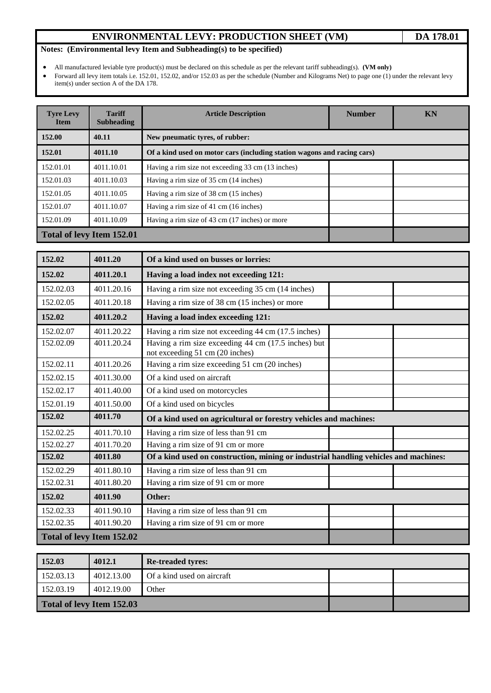# **ENVIRONMENTAL LEVY: PRODUCTION SHEET (VM)** DA 178.01

## **Notes: (Environmental levy Item and Subheading(s) to be specified)**

• All manufactured leviable tyre product(s) must be declared on this schedule as per the relevant tariff subheading(s). **(VM only)**<br>• Forward all levy item totals i.e. 152.01, 152.02, and/or 152.03 as per the schedule (Num

• Forward all levy item totals i.e. 152.01, 152.02, and/or 152.03 as per the schedule (Number and Kilograms Net) to page one (1) under the relevant levy item(s) under section A of the DA 178.

| <b>Tyre Levy</b><br><b>Item</b> | <b>Tariff</b><br><b>Subheading</b> | <b>Article Description</b>                                              | <b>Number</b> | <b>KN</b> |  |
|---------------------------------|------------------------------------|-------------------------------------------------------------------------|---------------|-----------|--|
| 152.00                          | 40.11                              | New pneumatic tyres, of rubber:                                         |               |           |  |
| 152.01                          | 4011.10                            | Of a kind used on motor cars (including station wagons and racing cars) |               |           |  |
| 152.01.01                       | 4011.10.01                         | Having a rim size not exceeding 33 cm (13 inches)                       |               |           |  |
| 152.01.03                       | 4011.10.03                         | Having a rim size of 35 cm (14 inches)                                  |               |           |  |
| 152.01.05                       | 4011.10.05                         | Having a rim size of 38 cm (15 inches)                                  |               |           |  |
| 152.01.07                       | 4011.10.07                         | Having a rim size of 41 cm (16 inches)                                  |               |           |  |
| 152.01.09                       | 4011.10.09                         | Having a rim size of 43 cm (17 inches) or more                          |               |           |  |
|                                 | Total of levy Item 152.01          |                                                                         |               |           |  |

| 152.02    | 4011.20                   | Of a kind used on busses or lorries:                                                   |  |
|-----------|---------------------------|----------------------------------------------------------------------------------------|--|
| 152.02    | 4011.20.1                 | Having a load index not exceeding 121:                                                 |  |
| 152.02.03 | 4011.20.16                | Having a rim size not exceeding 35 cm (14 inches)                                      |  |
| 152.02.05 | 4011.20.18                | Having a rim size of 38 cm (15 inches) or more                                         |  |
| 152.02    | 4011.20.2                 | Having a load index exceeding 121:                                                     |  |
| 152.02.07 | 4011.20.22                | Having a rim size not exceeding 44 cm (17.5 inches)                                    |  |
| 152.02.09 | 4011.20.24                | Having a rim size exceeding 44 cm (17.5 inches) but<br>not exceeding 51 cm (20 inches) |  |
| 152.02.11 | 4011.20.26                | Having a rim size exceeding 51 cm (20 inches)                                          |  |
| 152.02.15 | 4011.30.00                | Of a kind used on aircraft                                                             |  |
| 152.02.17 | 4011.40.00                | Of a kind used on motorcycles                                                          |  |
| 152.01.19 | 4011.50.00                | Of a kind used on bicycles                                                             |  |
| 152.02    | 4011.70                   | Of a kind used on agricultural or forestry vehicles and machines:                      |  |
| 152.02.25 | 4011.70.10                | Having a rim size of less than 91 cm                                                   |  |
| 152.02.27 | 4011.70.20                | Having a rim size of 91 cm or more                                                     |  |
| 152.02    | 4011.80                   | Of a kind used on construction, mining or industrial handling vehicles and machines:   |  |
| 152.02.29 | 4011.80.10                | Having a rim size of less than 91 cm                                                   |  |
| 152.02.31 | 4011.80.20                | Having a rim size of 91 cm or more                                                     |  |
| 152.02    | 4011.90                   | Other:                                                                                 |  |
| 152.02.33 | 4011.90.10                | Having a rim size of less than 91 cm                                                   |  |
| 152.02.35 | 4011.90.20                | Having a rim size of 91 cm or more                                                     |  |
|           | Total of levy Item 152.02 |                                                                                        |  |

| 152.03                    | 4012.1     | <b>Re-treaded tyres:</b>   |  |  |  |
|---------------------------|------------|----------------------------|--|--|--|
| 152.03.13                 | 4012.13.00 | Of a kind used on aircraft |  |  |  |
| 152.03.19                 | 4012.19.00 | Other                      |  |  |  |
| Total of levy Item 152.03 |            |                            |  |  |  |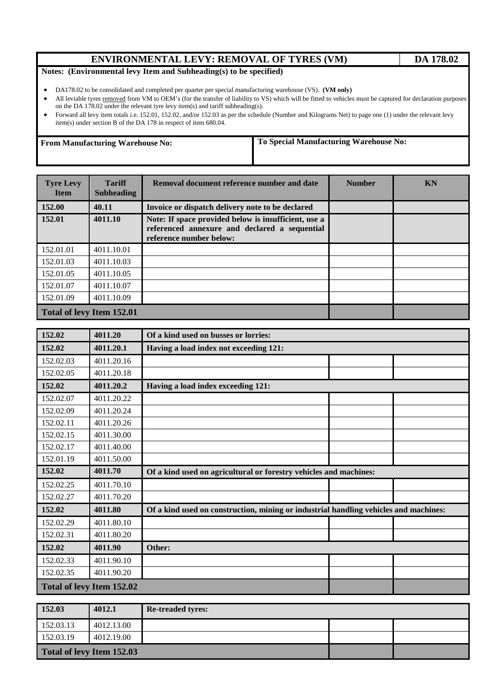# **ENVIRONMENTAL LEVY: REMOVAL OF TYRES (VM) DA 178.02**

#### **Notes: (Environmental levy Item and Subheading(s) to be specified)**

- DA178.02 to be consolidated and completed per quarter per special manufacturing warehouse (VS). **(VM only)**
- All leviable tyres removed from VM to OEM's (for the transfer of liability to VS) which will be fitted to vehicles must be captured for declaration purposes on the DA 178.02 under the relevant tyre levy item(s) and tariff subheading(s).
- Forward all levy item totals i.e. 152.01, 152.02, and/or 152.03 as per the schedule (Number and Kilograms Net) to page one (1) under the relevant levy item(s) under section B of the DA 178 in respect of item 680.04.

**From Manufacturing Warehouse No: To Special Manufacturing Warehouse No:** 

| <b>Tyre Levy</b><br><b>Item</b>  | <b>Tariff</b><br><b>Subheading</b> | Removal document reference number and date                                                                                       | <b>Number</b> | <b>KN</b> |  |
|----------------------------------|------------------------------------|----------------------------------------------------------------------------------------------------------------------------------|---------------|-----------|--|
| 152.00                           | 40.11                              | Invoice or dispatch delivery note to be declared                                                                                 |               |           |  |
| 152.01                           | 4011.10                            | Note: If space provided below is insufficient, use a<br>referenced annexure and declared a sequential<br>reference number below: |               |           |  |
| 152.01.01                        | 4011.10.01                         |                                                                                                                                  |               |           |  |
| 152.01.03                        | 4011.10.03                         |                                                                                                                                  |               |           |  |
| 152.01.05                        | 4011.10.05                         |                                                                                                                                  |               |           |  |
| 152.01.07                        | 4011.10.07                         |                                                                                                                                  |               |           |  |
| 152.01.09                        | 4011.10.09                         |                                                                                                                                  |               |           |  |
| <b>Total of levy Item 152.01</b> |                                    |                                                                                                                                  |               |           |  |

| 152.02    | 4011.20<br>Of a kind used on busses or lorries: |                                                                                      |  |  |  |  |
|-----------|-------------------------------------------------|--------------------------------------------------------------------------------------|--|--|--|--|
| 152.02    | 4011.20.1                                       | Having a load index not exceeding 121:                                               |  |  |  |  |
| 152.02.03 | 4011.20.16                                      |                                                                                      |  |  |  |  |
| 152.02.05 | 4011.20.18                                      |                                                                                      |  |  |  |  |
| 152.02    | 4011.20.2                                       | Having a load index exceeding 121:                                                   |  |  |  |  |
| 152.02.07 | 4011.20.22                                      |                                                                                      |  |  |  |  |
| 152.02.09 | 4011.20.24                                      |                                                                                      |  |  |  |  |
| 152.02.11 | 4011.20.26                                      |                                                                                      |  |  |  |  |
| 152.02.15 | 4011.30.00                                      |                                                                                      |  |  |  |  |
| 152.02.17 | 4011.40.00                                      |                                                                                      |  |  |  |  |
| 152.01.19 | 4011.50.00                                      |                                                                                      |  |  |  |  |
| 152.02    | 4011.70                                         | Of a kind used on agricultural or forestry vehicles and machines:                    |  |  |  |  |
| 152.02.25 | 4011.70.10                                      |                                                                                      |  |  |  |  |
| 152.02.27 | 4011.70.20                                      |                                                                                      |  |  |  |  |
| 152.02    | 4011.80                                         | Of a kind used on construction, mining or industrial handling vehicles and machines: |  |  |  |  |
| 152.02.29 | 4011.80.10                                      |                                                                                      |  |  |  |  |
| 152.02.31 | 4011.80.20                                      |                                                                                      |  |  |  |  |
| 152.02    | 4011.90                                         | Other:                                                                               |  |  |  |  |
| 152.02.33 | 4011.90.10                                      |                                                                                      |  |  |  |  |
| 152.02.35 | 4011.90.20                                      |                                                                                      |  |  |  |  |
|           | Total of levy Item 152.02                       |                                                                                      |  |  |  |  |

| 152.03                    | 4012.1     | <b>Re-treaded tyres:</b> |  |  |  |
|---------------------------|------------|--------------------------|--|--|--|
| 152.03.13                 | 4012.13.00 |                          |  |  |  |
| 152.03.19                 | 4012.19.00 |                          |  |  |  |
| Total of levy Item 152.03 |            |                          |  |  |  |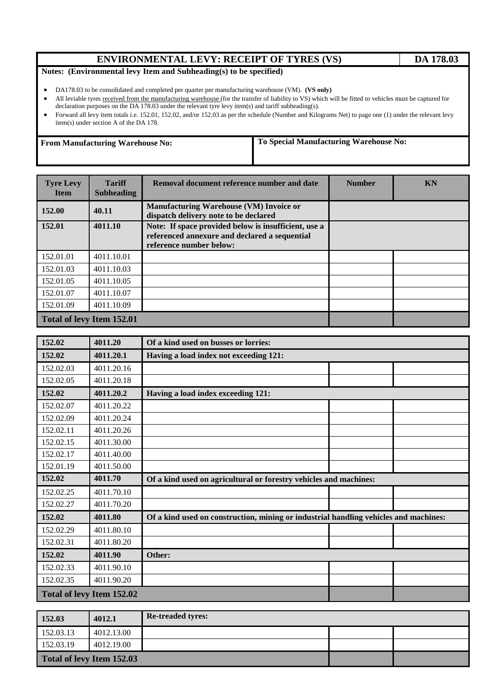### **ENVIRONMENTAL LEVY: RECEIPT OF TYRES (VS) DA 178.03**

#### **Notes: (Environmental levy Item and Subheading(s) to be specified)**

- DA178.03 to be consolidated and completed per quarter per manufacturing warehouse (VM). **(VS only)**
- All leviable tyres received from the manufacturing warehouse (for the transfer of liability to VS) which will be fitted to vehicles must be captured for declaration purposes on the DA 178.03 under the relevant tyre levy item(s) and tariff subheading(s).
- Forward all levy item totals i.e. 152.01, 152.02, and/or 152.03 as per the schedule (Number and Kilograms Net) to page one (1) under the relevant levy item(s) under section A of the DA 178.

**From Manufacturing Warehouse No: To Special Manufacturing Warehouse No:**

| <b>Tyre Levy</b><br><b>Item</b> | <b>Tariff</b><br><b>Subheading</b> | Removal document reference number and date                                                                                       | <b>Number</b> | KN |  |
|---------------------------------|------------------------------------|----------------------------------------------------------------------------------------------------------------------------------|---------------|----|--|
| 152.00                          | 40.11                              | <b>Manufacturing Warehouse (VM) Invoice or</b><br>dispatch delivery note to be declared                                          |               |    |  |
| 152.01                          | 4011.10                            | Note: If space provided below is insufficient, use a<br>referenced annexure and declared a sequential<br>reference number below: |               |    |  |
| 152.01.01                       | 4011.10.01                         |                                                                                                                                  |               |    |  |
| 152.01.03                       | 4011.10.03                         |                                                                                                                                  |               |    |  |
| 152.01.05                       | 4011.10.05                         |                                                                                                                                  |               |    |  |
| 152.01.07                       | 4011.10.07                         |                                                                                                                                  |               |    |  |
| 152.01.09                       | 4011.10.09                         |                                                                                                                                  |               |    |  |
| Total of levy Item 152.01       |                                    |                                                                                                                                  |               |    |  |

| 152.02                    | 4011.20<br>Of a kind used on busses or lorries: |                                                                                      |  |  |  |
|---------------------------|-------------------------------------------------|--------------------------------------------------------------------------------------|--|--|--|
| 152.02                    | 4011.20.1                                       | Having a load index not exceeding 121:                                               |  |  |  |
| 152.02.03                 | 4011.20.16                                      |                                                                                      |  |  |  |
| 152.02.05                 | 4011.20.18                                      |                                                                                      |  |  |  |
| 152.02                    | 4011.20.2                                       | Having a load index exceeding 121:                                                   |  |  |  |
| 152.02.07                 | 4011.20.22                                      |                                                                                      |  |  |  |
| 152.02.09                 | 4011.20.24                                      |                                                                                      |  |  |  |
| 152.02.11                 | 4011.20.26                                      |                                                                                      |  |  |  |
| 152.02.15                 | 4011.30.00                                      |                                                                                      |  |  |  |
| 152.02.17                 | 4011.40.00                                      |                                                                                      |  |  |  |
| 152.01.19                 | 4011.50.00                                      |                                                                                      |  |  |  |
| 152.02                    | 4011.70                                         | Of a kind used on agricultural or forestry vehicles and machines:                    |  |  |  |
| 152.02.25                 | 4011.70.10                                      |                                                                                      |  |  |  |
| 152.02.27                 | 4011.70.20                                      |                                                                                      |  |  |  |
| 152.02                    | 4011.80                                         | Of a kind used on construction, mining or industrial handling vehicles and machines: |  |  |  |
| 152.02.29                 | 4011.80.10                                      |                                                                                      |  |  |  |
| 152.02.31                 | 4011.80.20                                      |                                                                                      |  |  |  |
| 152.02                    | 4011.90                                         | Other:                                                                               |  |  |  |
| 152.02.33                 | 4011.90.10                                      |                                                                                      |  |  |  |
| 152.02.35                 | 4011.90.20                                      |                                                                                      |  |  |  |
| Total of levy Item 152.02 |                                                 |                                                                                      |  |  |  |

| 152.03                    | 4012.1     | <b>Re-treaded tyres:</b> |  |  |  |
|---------------------------|------------|--------------------------|--|--|--|
| 152.03.13                 | 4012.13.00 |                          |  |  |  |
| 152.03.19                 | 4012.19.00 |                          |  |  |  |
| Total of levy Item 152.03 |            |                          |  |  |  |